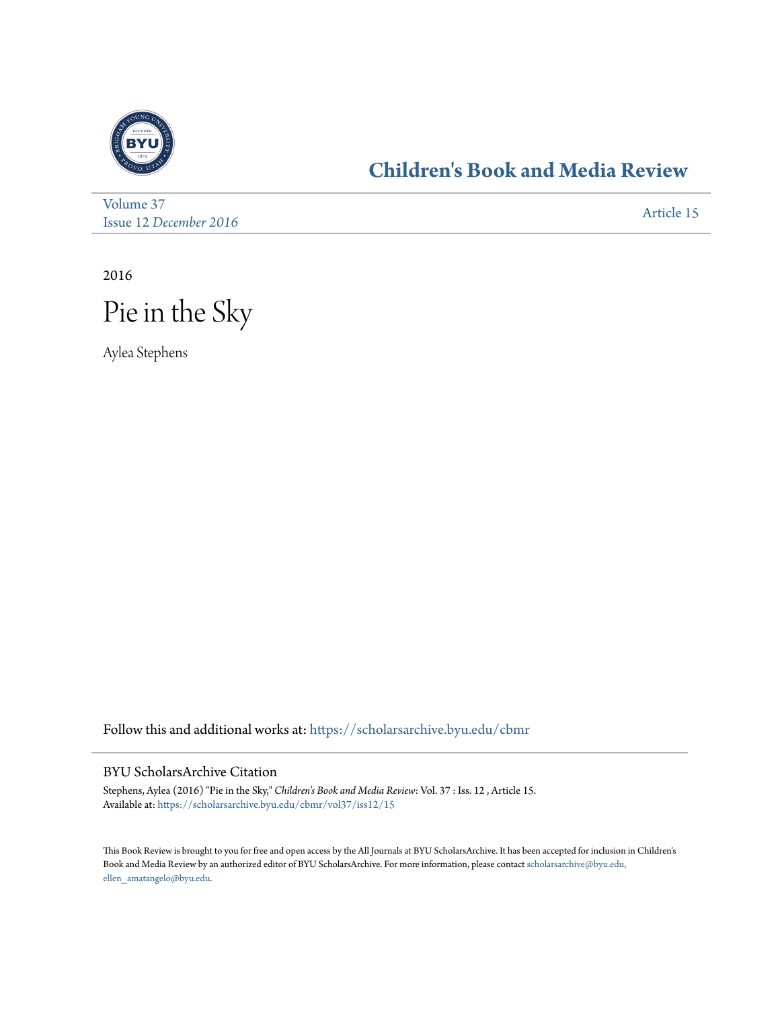

## **[Children's Book and Media Review](https://scholarsarchive.byu.edu/cbmr?utm_source=scholarsarchive.byu.edu%2Fcbmr%2Fvol37%2Fiss12%2F15&utm_medium=PDF&utm_campaign=PDFCoverPages)**

[Volume 37](https://scholarsarchive.byu.edu/cbmr/vol37?utm_source=scholarsarchive.byu.edu%2Fcbmr%2Fvol37%2Fiss12%2F15&utm_medium=PDF&utm_campaign=PDFCoverPages) Issue 12 *[December 2016](https://scholarsarchive.byu.edu/cbmr/vol37/iss12?utm_source=scholarsarchive.byu.edu%2Fcbmr%2Fvol37%2Fiss12%2F15&utm_medium=PDF&utm_campaign=PDFCoverPages)* [Article 15](https://scholarsarchive.byu.edu/cbmr/vol37/iss12/15?utm_source=scholarsarchive.byu.edu%2Fcbmr%2Fvol37%2Fiss12%2F15&utm_medium=PDF&utm_campaign=PDFCoverPages)

2016



Aylea Stephens

Follow this and additional works at: [https://scholarsarchive.byu.edu/cbmr](https://scholarsarchive.byu.edu/cbmr?utm_source=scholarsarchive.byu.edu%2Fcbmr%2Fvol37%2Fiss12%2F15&utm_medium=PDF&utm_campaign=PDFCoverPages)

## BYU ScholarsArchive Citation

Stephens, Aylea (2016) "Pie in the Sky," *Children's Book and Media Review*: Vol. 37 : Iss. 12 , Article 15. Available at: [https://scholarsarchive.byu.edu/cbmr/vol37/iss12/15](https://scholarsarchive.byu.edu/cbmr/vol37/iss12/15?utm_source=scholarsarchive.byu.edu%2Fcbmr%2Fvol37%2Fiss12%2F15&utm_medium=PDF&utm_campaign=PDFCoverPages)

This Book Review is brought to you for free and open access by the All Journals at BYU ScholarsArchive. It has been accepted for inclusion in Children's Book and Media Review by an authorized editor of BYU ScholarsArchive. For more information, please contact [scholarsarchive@byu.edu,](mailto:scholarsarchive@byu.edu,%20ellen_amatangelo@byu.edu) [ellen\\_amatangelo@byu.edu.](mailto:scholarsarchive@byu.edu,%20ellen_amatangelo@byu.edu)